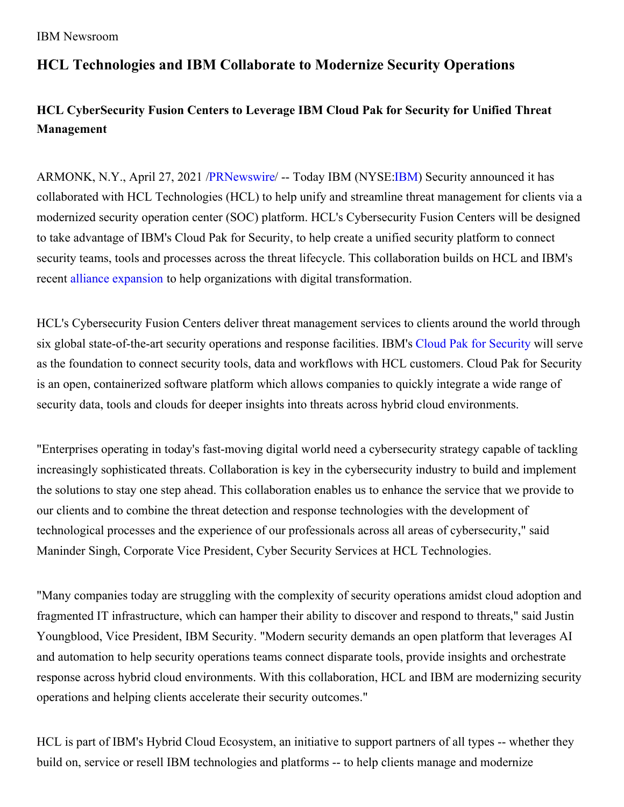### IBM Newsroom

# **HCL Technologies and IBM Collaborate to Modernize Security Operations**

# **HCL CyberSecurity Fusion Centers to Leverage IBM Cloud Pak for Security for Unified Threat Management**

ARMONK, N.Y., April 27, 2021 [/PRNewswire](http://www.prnewswire.com/)/ -- Today IBM (NYSE[:IBM](https://c212.net/c/link/?t=0&l=en&o=3142214-1&h=1235895262&u=http%3A%2F%2Fwww.ibm.com%2Finvestor&a=IBM)) Security announced it has collaborated with HCL Technologies (HCL) to help unify and streamline threat management for clients via a modernized security operation center (SOC) platform. HCL's Cybersecurity Fusion Centers will be designed to take advantage of IBM's Cloud Pak for Security, to help create a unified security platform to connect security teams, tools and processes across the threat lifecycle. This collaboration builds on HCL and IBM's recent alliance [expansion](https://c212.net/c/link/?t=0&l=en&o=3142214-1&h=3758484934&u=https%3A%2F%2Fnewsroom.ibm.com%2F2020-10-01-HCL-and-IBM-expand-alliance-to-help-organizations-with-digital-transformation&a=alliance+expansion) to help organizations with digital transformation.

HCL's Cybersecurity Fusion Centers deliver threat management services to clients around the world through six global state-of-the-art security operations and response facilities. IBM's Cloud Pak for [Security](https://c212.net/c/link/?t=0&l=en&o=3142214-1&h=2268870972&u=https%3A%2F%2Fwww.ibm.com%2Fproducts%2Fcloud-pak-for-security%3Fp1%3DSearch%26p4%3D43700050370564156%26p5%3De%26cm_mmc%3DSearch_Google-_-1S_1S-_-WW_NA-_-ibm%2520cloud%2520pak%2520for%2520security_e%26cm_mmca7%3D71700000061027438%26cm_mmca8%3Dkwd-849097124608%26cm_mmca9%3DCj0KCQiA3NX_BRDQARIsALA3fIKFmHvT-zF_EIIyW8ntxTSk88xPfgXxbsA6117gywuI0m6-sgWYEA0aAgNTEALw_wcB%26cm_mmca10%3D434350904395%26cm_mmca11%3De%26gclid%3DCj0KCQiA3NX_BRDQARIsALA3fIKFmHvT-zF_EIIyW8ntxTSk88xPfgXxbsA6117gywuI0m6-sgWYEA0aAgNTEALw_wcB%26gclsrc%3Daw.ds&a=Cloud+Pak+for+Security) will serve as the foundation to connect security tools, data and workflows with HCL customers. Cloud Pak for Security is an open, containerized software platform which allows companies to quickly integrate a wide range of security data, tools and clouds for deeper insights into threats across hybrid cloud environments.

"Enterprises operating in today's fast-moving digital world need a cybersecurity strategy capable of tackling increasingly sophisticated threats. Collaboration is key in the cybersecurity industry to build and implement the solutions to stay one step ahead. This collaboration enables us to enhance the service that we provide to our clients and to combine the threat detection and response technologies with the development of technological processes and the experience of our professionals across all areas of cybersecurity," said Maninder Singh, Corporate Vice President, Cyber Security Services at HCL Technologies.

"Many companies today are struggling with the complexity of security operations amidst cloud adoption and fragmented IT infrastructure, which can hamper their ability to discover and respond to threats," said Justin Youngblood, Vice President, IBM Security. "Modern security demands an open platform that leverages AI and automation to help security operations teams connect disparate tools, provide insights and orchestrate response across hybrid cloud environments. With this collaboration, HCL and IBM are modernizing security operations and helping clients accelerate their security outcomes."

HCL is part of IBM's Hybrid Cloud Ecosystem, an initiative to support partners of all types -- whether they build on, service or resell IBM technologies and platforms -- to help clients manage and modernize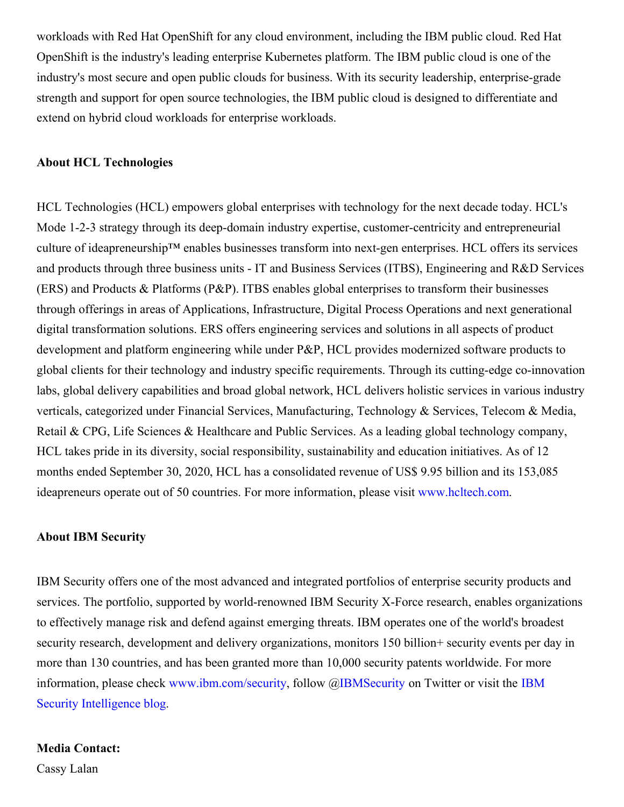workloads with Red Hat OpenShift for any cloud environment, including the IBM public cloud. Red Hat OpenShift is the industry's leading enterprise Kubernetes platform. The IBM public cloud is one of the industry's most secure and open public clouds for business. With its security leadership, enterprise-grade strength and support for open source technologies, the IBM public cloud is designed to differentiate and extend on hybrid cloud workloads for enterprise workloads.

## **About HCL Technologies**

HCL Technologies (HCL) empowers global enterprises with technology for the next decade today. HCL's Mode 1-2-3 strategy through its deep-domain industry expertise, customer-centricity and entrepreneurial culture of ideapreneurship™ enables businesses transform into next-gen enterprises. HCL offers its services and products through three business units - IT and Business Services (ITBS), Engineering and R&D Services (ERS) and Products & Platforms (P&P). ITBS enables global enterprises to transform their businesses through offerings in areas of Applications, Infrastructure, Digital Process Operations and next generational digital transformation solutions. ERS offers engineering services and solutions in all aspects of product development and platform engineering while under P&P, HCL provides modernized software products to global clients for their technology and industry specific requirements. Through its cutting-edge co-innovation labs, global delivery capabilities and broad global network, HCL delivers holistic services in various industry verticals, categorized under Financial Services, Manufacturing, Technology & Services, Telecom & Media, Retail & CPG, Life Sciences & Healthcare and Public Services. As a leading global technology company, HCL takes pride in its diversity, social responsibility, sustainability and education initiatives. As of 12 months ended September 30, 2020, HCL has a consolidated revenue of US\$ 9.95 billion and its 153,085 ideapreneurs operate out of 50 countries. For more information, please visit [www.hcltech.com](https://c212.net/c/link/?t=0&l=en&o=3142214-1&h=3922101996&u=https%3A%2F%2Fapc01.safelinks.protection.outlook.com%2F%3Furl%3Dhttp%253A%252F%252Fwww.hcltech.com%252F%26data%3D04%257C01%257Canne.coyle%2540hcl.com%257Ca4cff0d8e812422485cc08d87b8c3ba9%257C189de737c93a4f5a8b686f4ca9941912%257C0%257C0%257C637395189511486291%257CUnknown%257CTWFpbGZsb3d8eyJWIjoiMC4wLjAwMDAiLCJQIjoiV2luMzIiLCJBTiI6Ik1haWwiLCJXVCI6Mn0%253D%257C1000%26sdata%3Dz%252FevLJDUjvTa4zsNQJXs9BV4No92Mri0exZUaIlqbew%253D%26reserved%3D0&a=www.hcltech.com).

### **About IBM Security**

IBM Security offers one of the most advanced and integrated portfolios of enterprise security products and services. The portfolio, supported by world-renowned IBM Security X-Force research, enables organizations to effectively manage risk and defend against emerging threats. IBM operates one of the world's broadest security research, development and delivery organizations, monitors 150 billion+ security events per day in more than 130 countries, and has been granted more than 10,000 security patents worldwide. For more information, please check [www.ibm.com/security,](https://c212.net/c/link/?t=0&l=en&o=3142214-1&h=1543832330&u=https%3A%2F%2Fc212.net%2Fc%2Flink%2F%3Ft%3D0%26l%3Den%26o%3D3076530-1%26h%3D3505237674%26u%3Dhttps%253A%252F%252Fc212.net%252Fc%252Flink%252F%253Ft%253D0%2526l%253Den%2526o%253D2967939-1%2526h%253D2053002501%2526u%253Dhttps%25253A%25252F%25252Fc212.net%25252Fc%25252Flink%25252F%25253Ft%25253D0%252526l%25253Den%252526o%25253D2948944-1%252526h%25253D2900212156%252526u%25253Dhttps%2525253A%2525252F%2525252Fsecurityintelligence.com%2525252F%252526a%25253DIBM%25252BSecurity%25252BIntelligence%252525C2%252525A0blog%2526a%253DIBM%252BSecurity%252BIntelligence%2525C2%2525A0blog%26a%3DIBM%2BSecurity%2BIntelligence%25C2%25A0blog&a=IBM+Security+Intelligence%C2%A0blog) follow [@IBMSecurity](https://c212.net/c/link/?t=0&l=en&o=3142214-1&h=1169247271&u=https%3A%2F%2Fc212.net%2Fc%2Flink%2F%3Ft%3D0%26l%3Den%26o%3D3076530-1%26h%3D1794487474%26u%3Dhttps%253A%252F%252Fc212.net%252Fc%252Flink%252F%253Ft%253D0%2526l%253Den%2526o%253D2967939-1%2526h%253D1022539595%2526u%253Dhttps%25253A%25252F%25252Fc212.net%25252Fc%25252Flink%25252F%25253Ft%25253D0%252526l%25253Den%252526o%25253D2948944-1%252526h%25253D4005378593%252526u%25253Dhttps%2525253A%2525252F%2525252Fc212.net%2525252Fc%2525252Flink%2525252F%2525253Ft%2525253D0%25252526l%2525253Den%25252526o%2525253D2433262-1%25252526h%2525253D2941630816%25252526u%2525253Dhttps%252525253A%252525252F%252525252Ftwitter.com%252525252Fibmsecurity%25252526a%2525253DIBMSecurity%252526a%25253DIBMSecurity%2526a%253DIBMSecurity%26a%3DIBMSecurity&a=IBMSecurity) on Twitter or visit the IBM Security Intelligence blog.

### **Media Contact:**

Cassy Lalan